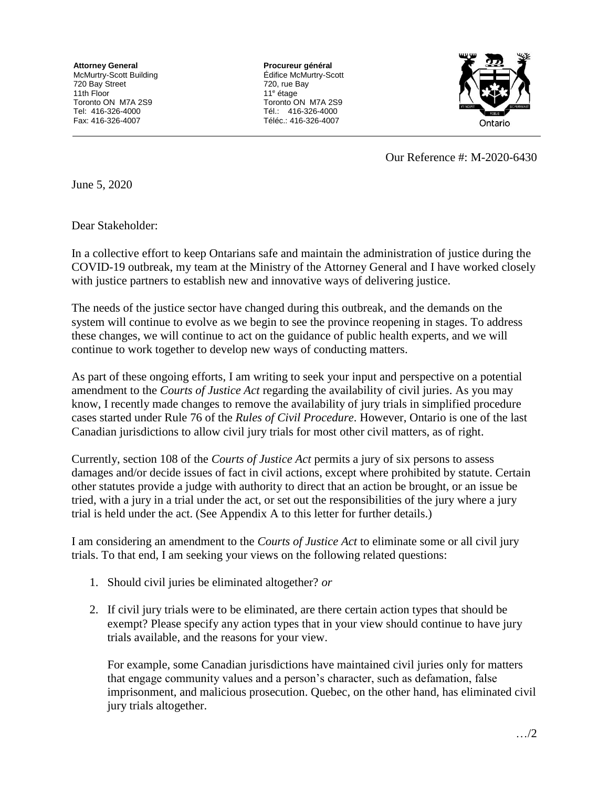**Attorney General** McMurtry-Scott Building 720 Bay Street 11th Floor Toronto ON M7A 2S9 Tel: 416-326-4000 Fax: 416-326-4007

**Procureur général** Édifice McMurtry-Scott 720, rue Bay 11<sup>e</sup> étage Toronto ON M7A 2S9 Tél.: 416-326-4000 Téléc.: 416-326-4007



Our Reference #: M-2020-6430

June 5, 2020

Dear Stakeholder:

In a collective effort to keep Ontarians safe and maintain the administration of justice during the COVID-19 outbreak, my team at the Ministry of the Attorney General and I have worked closely with justice partners to establish new and innovative ways of delivering justice.

The needs of the justice sector have changed during this outbreak, and the demands on the system will continue to evolve as we begin to see the province reopening in stages. To address these changes, we will continue to act on the guidance of public health experts, and we will continue to work together to develop new ways of conducting matters.

As part of these ongoing efforts, I am writing to seek your input and perspective on a potential amendment to the *Courts of Justice Act* regarding the availability of civil juries. As you may know, I recently made changes to remove the availability of jury trials in simplified procedure cases started under Rule 76 of the *Rules of Civil Procedure*. However, Ontario is one of the last Canadian jurisdictions to allow civil jury trials for most other civil matters, as of right.

Currently, section 108 of the *Courts of Justice Act* permits a jury of six persons to assess damages and/or decide issues of fact in civil actions, except where prohibited by statute. Certain other statutes provide a judge with authority to direct that an action be brought, or an issue be tried, with a jury in a trial under the act, or set out the responsibilities of the jury where a jury trial is held under the act. (See Appendix A to this letter for further details.)

I am considering an amendment to the *Courts of Justice Act* to eliminate some or all civil jury trials. To that end, I am seeking your views on the following related questions:

- 1. Should civil juries be eliminated altogether? *or*
- 2. If civil jury trials were to be eliminated, are there certain action types that should be exempt? Please specify any action types that in your view should continue to have jury trials available, and the reasons for your view.

For example, some Canadian jurisdictions have maintained civil juries only for matters that engage community values and a person's character, such as defamation, false imprisonment, and malicious prosecution. Quebec, on the other hand, has eliminated civil jury trials altogether.